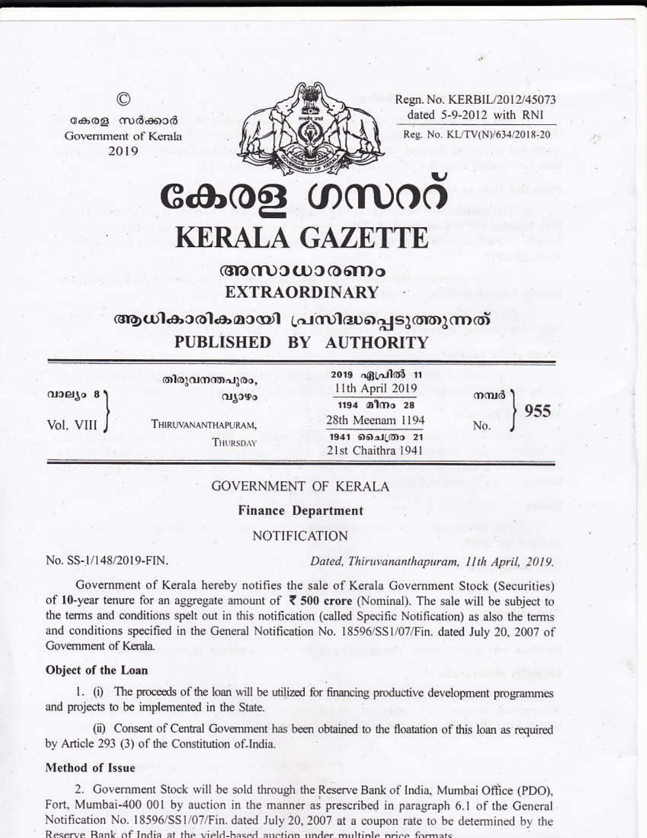Regn. No. KERBIL/2012/45073 dated 5-9-2012 with RNI Reg. No. KL/TV(N)/634/2018-20



കേരള സർക്കാർ Government of Kerala 2019

 $^{\circ}$ 

കേരള ഗസററ **KERALA GAZETTE** 

# അസാധാരണം **EXTRAORDINARY**

ആധികാരികമായി പ്രസിദ്ധപ്പെടുത്തുന്നത് PUBLISHED BY AUTHORITY

| തിരുവനന്തപുരം,<br>വ്യാഴം                       | 2019 ഏപ്രിൽ 11<br>11th April 2019<br>1194 മീനം 28 | നമ്പർ | 955 |
|------------------------------------------------|---------------------------------------------------|-------|-----|
| Vol. VIII J<br>THIRUVANANTHAPURAM,<br>THURSDAY | 28th Meenam 1194                                  |       |     |
|                                                | 1941 ചൈത്രം 21<br>21st Chaithra 1941              |       |     |
|                                                |                                                   |       | No. |

# **GOVERNMENT OF KERALA**

## **Finance Department**

# **NOTIFICATION**

No. SS-1/148/2019-FIN.

Dated, Thiruvananthapuram, 11th April, 2019.

Government of Kerala hereby notifies the sale of Kerala Government Stock (Securities) of 10-year tenure for an aggregate amount of  $\bar{\phantom{1}}$  500 crore (Nominal). The sale will be subject to the terms and conditions spelt out in this notification (called Specific Notification) as also the terms and conditions specified in the General Notification No. 18596/SS1/07/Fin. dated July 20, 2007 of Government of Kerala.

#### Object of the Loan

1. (i) The proceeds of the loan will be utilized for financing productive development programmes and projects to be implemented in the State.

(ii) Consent of Central Government has been obtained to the floatation of this loan as required by Article 293 (3) of the Constitution of India.

## Method of Issue

2. Government Stock will be sold through the Reserve Bank of India, Mumbai Office (PDO), Fort, Mumbai-400 001 by auction in the manner as prescribed in paragraph 6.1 of the General Notification No. 18596/SS1/07/Fin. dated July 20, 2007 at a coupon rate to be determined by the Reserve Bank of India at the vield-based auction under multiple price formats